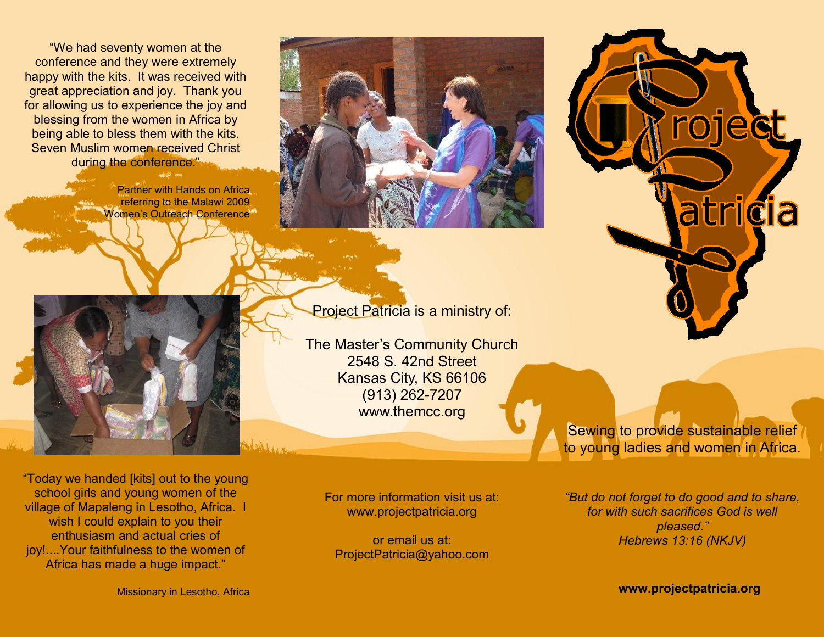"We had seventy women at the conference and they were extremely happy with the kits. It was received with great appreciation and joy. Thank you for allowing us to experience the joy and blessing from the women in Africa by being able to bless them with the kits. Seven Muslim women received Christ during the conference."

> Partner with Hands on Africa referring to the Malawi 2009 Women's Outreach Conference<sup>®</sup>





The Master's Community Church 2548 S. 42nd Street Kansas City, KS 66106 (913) 262-7207 www.themcc.org

"Today we handed [kits] out to the young school girls and young women of the village of Mapaleng in Lesotho, Africa. I wish I could explain to you their enthusiasm and actual cries of joy!....Your faithfulness to the women of Africa has made a huge impact."

For more information visit us at: www.projectpatricia.org

or email us at: ProjectPatricia@yahoo.com to young ladies and women in Africa.

Sewing to provide sustainable relief

roject

atricia

*"But do not forget to do good and to share, for with such sacrifices God is well pleased." Hebrews 13:16 (NKJV)*

**www.projectpatricia.org**

Missionary in Lesotho, Africa